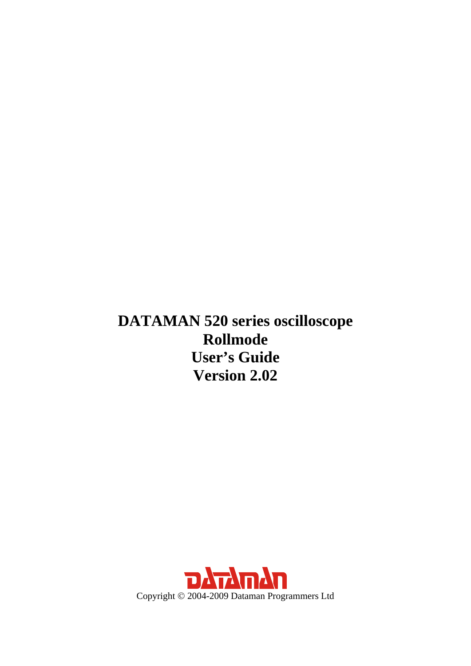<span id="page-0-0"></span>**DATAMAN 520 series oscilloscope Rollmode User's Guide Version 2.02** 

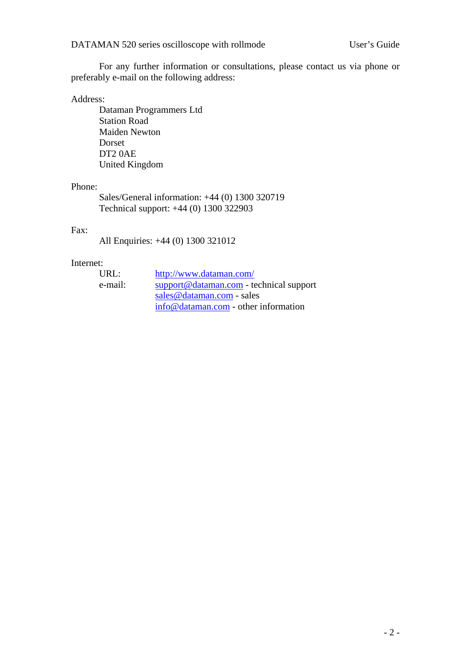For any further information or consultations, please contact us via phone or preferably e-mail on the following address:

#### Address:

 Dataman Programmers Ltd Station Road Maiden Newton Dorset DT2 0AE United Kingdom

#### Phone:

 Sales/General information: +44 (0) 1300 320719 Technical support: +44 (0) 1300 322903

#### Fax:

All Enquiries: +44 (0) 1300 321012

#### Internet:

| URL:    | http://www.dataman.com/                   |
|---------|-------------------------------------------|
| e-mail: | $support@dataman.com - technical support$ |
|         | sales @dataman.com - sales                |
|         | info@dataman.com - other information      |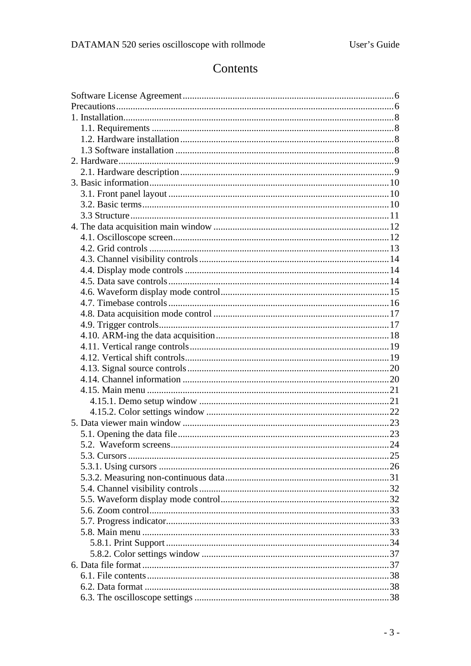## Contents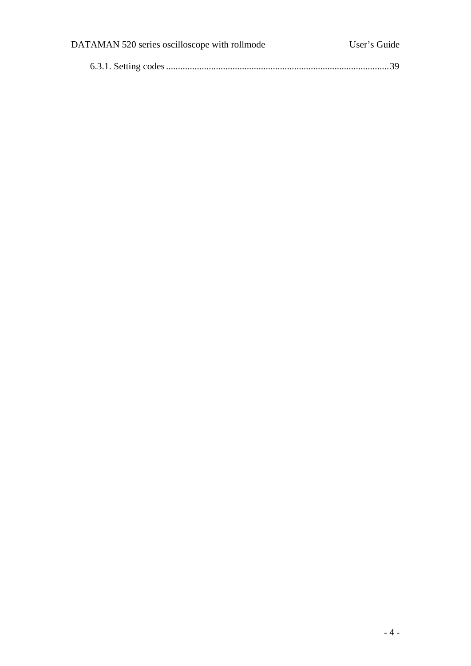| DATAMAN 520 series oscilloscope with rollmode | User's Guide |
|-----------------------------------------------|--------------|
|                                               |              |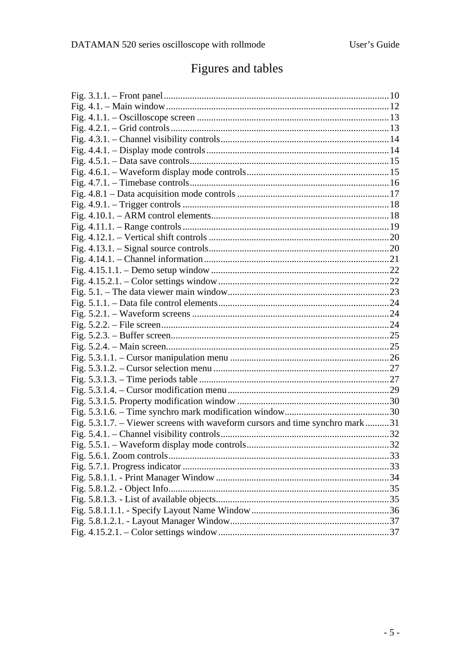# Figures and tables

| Fig. 5.3.1.7. – Viewer screens with waveform cursors and time synchro mark31 |  |
|------------------------------------------------------------------------------|--|
|                                                                              |  |
|                                                                              |  |
|                                                                              |  |
|                                                                              |  |
|                                                                              |  |
|                                                                              |  |
|                                                                              |  |
|                                                                              |  |
|                                                                              |  |
|                                                                              |  |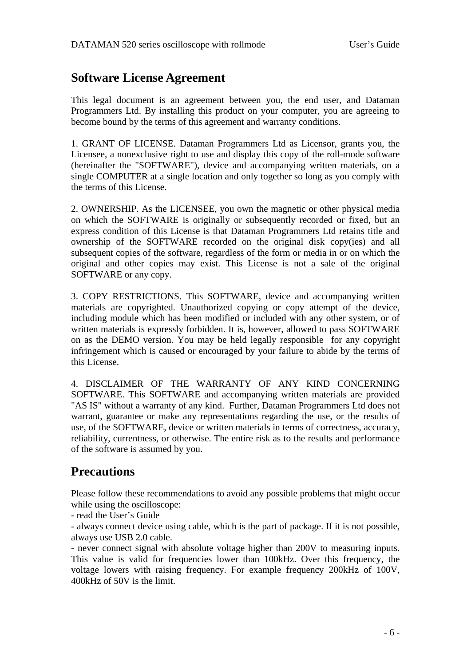### <span id="page-5-0"></span>**Software License Agreement**

This legal document is an agreement between you, the end user, and Dataman Programmers Ltd. By installing this product on your computer, you are agreeing to become bound by the terms of this agreement and warranty conditions.

1. GRANT OF LICENSE. Dataman Programmers Ltd as Licensor, grants you, the Licensee, a nonexclusive right to use and display this copy of the roll-mode software (hereinafter the "SOFTWARE"), device and accompanying written materials, on a single COMPUTER at a single location and only together so long as you comply with the terms of this License.

2. OWNERSHIP. As the LICENSEE, you own the magnetic or other physical media on which the SOFTWARE is originally or subsequently recorded or fixed, but an express condition of this License is that Dataman Programmers Ltd retains title and ownership of the SOFTWARE recorded on the original disk copy(ies) and all subsequent copies of the software, regardless of the form or media in or on which the original and other copies may exist. This License is not a sale of the original SOFTWARE or any copy.

3. COPY RESTRICTIONS. This SOFTWARE, device and accompanying written materials are copyrighted. Unauthorized copying or copy attempt of the device, including module which has been modified or included with any other system, or of written materials is expressly forbidden. It is, however, allowed to pass SOFTWARE on as the DEMO version. You may be held legally responsible for any copyright infringement which is caused or encouraged by your failure to abide by the terms of this License.

4. DISCLAIMER OF THE WARRANTY OF ANY KIND CONCERNING SOFTWARE. This SOFTWARE and accompanying written materials are provided "AS IS" without a warranty of any kind. Further, Dataman Programmers Ltd does not warrant, guarantee or make any representations regarding the use, or the results of use, of the SOFTWARE, device or written materials in terms of correctness, accuracy, reliability, currentness, or otherwise. The entire risk as to the results and performance of the software is assumed by you.

### **Precautions**

Please follow these recommendations to avoid any possible problems that might occur while using the oscilloscope:

- read the User's Guide

- always connect device using cable, which is the part of package. If it is not possible, always use USB 2.0 cable.

- never connect signal with absolute voltage higher than 200V to measuring inputs. This value is valid for frequencies lower than 100kHz. Over this frequency, the voltage lowers with raising frequency. For example frequency 200kHz of 100V, 400kHz of 50V is the limit.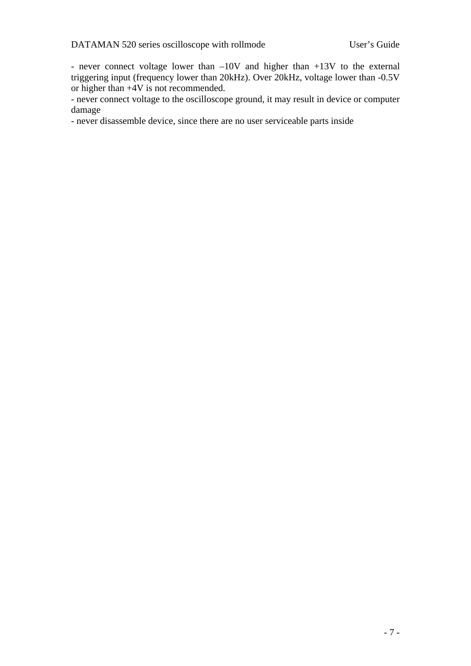- never connect voltage lower than –10V and higher than +13V to the external triggering input (frequency lower than 20kHz). Over 20kHz, voltage lower than -0.5V or higher than +4V is not recommended.

- never connect voltage to the oscilloscope ground, it may result in device or computer damage

- never disassemble device, since there are no user serviceable parts inside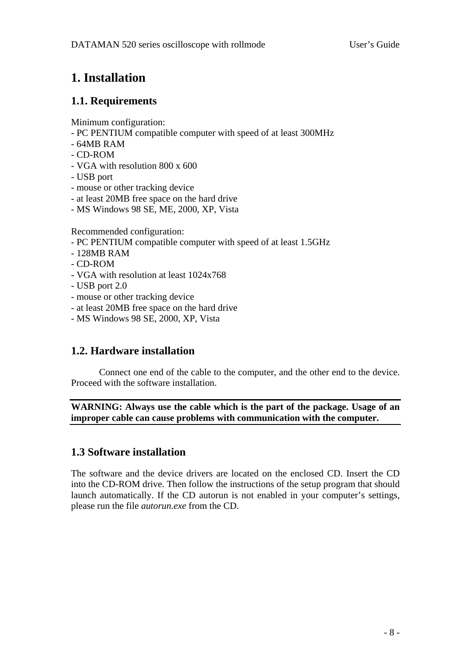## <span id="page-7-0"></span>**1. Installation**

### **1.1. Requirements**

Minimum configuration:

- PC PENTIUM compatible computer with speed of at least 300MHz
- 64MB RAM
- CD-ROM
- VGA with resolution 800 x 600
- USB port
- mouse or other tracking device
- at least 20MB free space on the hard drive
- MS Windows 98 SE, ME, 2000, XP, Vista

Recommended configuration:

- PC PENTIUM compatible computer with speed of at least 1.5GHz
- 128MB RAM
- CD-ROM
- VGA with resolution at least 1024x768
- USB port 2.0
- mouse or other tracking device
- at least 20MB free space on the hard drive
- MS Windows 98 SE, 2000, XP, Vista

### **1.2. Hardware installation**

 Connect one end of the cable to the computer, and the other end to the device. Proceed with the software installation.

**WARNING: Always use the cable which is the part of the package. Usage of an improper cable can cause problems with communication with the computer.** 

### **1.3 Software installation**

The software and the device drivers are located on the enclosed CD. Insert the CD into the CD-ROM drive. Then follow the instructions of the setup program that should launch automatically. If the CD autorun is not enabled in your computer's settings, please run the file *autorun.exe* from the CD.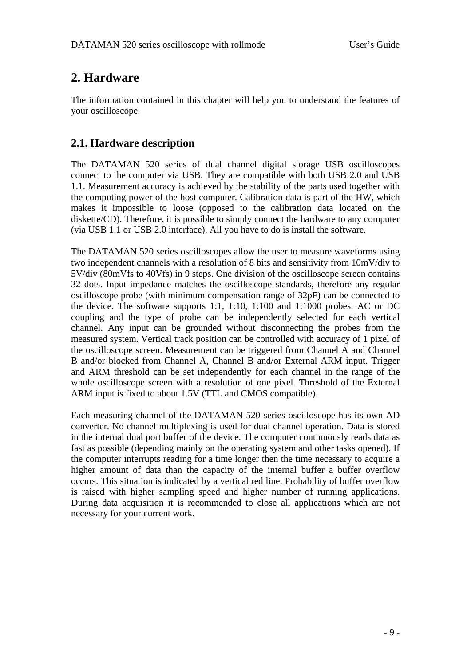## <span id="page-8-0"></span>**2. Hardware**

The information contained in this chapter will help you to understand the features of your oscilloscope.

### **2.1. Hardware description**

The DATAMAN 520 series of dual channel digital storage USB oscilloscopes connect to the computer via USB. They are compatible with both USB 2.0 and USB 1.1. Measurement accuracy is achieved by the stability of the parts used together with the computing power of the host computer. Calibration data is part of the HW, which makes it impossible to loose (opposed to the calibration data located on the diskette/CD). Therefore, it is possible to simply connect the hardware to any computer (via USB 1.1 or USB 2.0 interface). All you have to do is install the software.

The DATAMAN 520 series oscilloscopes allow the user to measure waveforms using two independent channels with a resolution of 8 bits and sensitivity from 10mV/div to 5V/div (80mVfs to 40Vfs) in 9 steps. One division of the oscilloscope screen contains 32 dots. Input impedance matches the oscilloscope standards, therefore any regular oscilloscope probe (with minimum compensation range of 32pF) can be connected to the device. The software supports 1:1, 1:10, 1:100 and 1:1000 probes. AC or DC coupling and the type of probe can be independently selected for each vertical channel. Any input can be grounded without disconnecting the probes from the measured system. Vertical track position can be controlled with accuracy of 1 pixel of the oscilloscope screen. Measurement can be triggered from Channel A and Channel B and/or blocked from Channel A, Channel B and/or External ARM input. Trigger and ARM threshold can be set independently for each channel in the range of the whole oscilloscope screen with a resolution of one pixel. Threshold of the External ARM input is fixed to about 1.5V (TTL and CMOS compatible).

Each measuring channel of the DATAMAN 520 series oscilloscope has its own AD converter. No channel multiplexing is used for dual channel operation. Data is stored in the internal dual port buffer of the device. The computer continuously reads data as fast as possible (depending mainly on the operating system and other tasks opened). If the computer interrupts reading for a time longer then the time necessary to acquire a higher amount of data than the capacity of the internal buffer a buffer overflow occurs. This situation is indicated by a vertical red line. Probability of buffer overflow is raised with higher sampling speed and higher number of running applications. During data acquisition it is recommended to close all applications which are not necessary for your current work.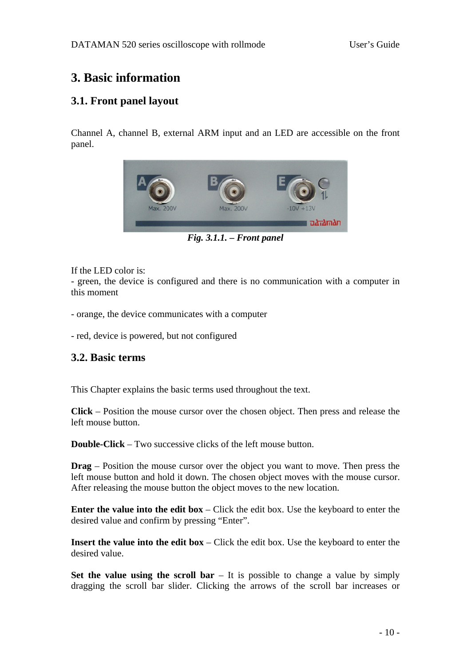## <span id="page-9-0"></span>**3. Basic information**

### **3.1. Front panel layout**

Channel A, channel B, external ARM input and an LED are accessible on the front panel.



*Fig. 3.1.1. – Front panel* 

If the LED color is:

- green, the device is configured and there is no communication with a computer in this moment

- orange, the device communicates with a computer

- red, device is powered, but not configured

### **3.2. Basic terms**

This Chapter explains the basic terms used throughout the text.

**Click** – Position the mouse cursor over the chosen object. Then press and release the left mouse button.

**Double-Click** – Two successive clicks of the left mouse button.

**Drag** – Position the mouse cursor over the object you want to move. Then press the left mouse button and hold it down. The chosen object moves with the mouse cursor. After releasing the mouse button the object moves to the new location.

**Enter the value into the edit box** – Click the edit box. Use the keyboard to enter the desired value and confirm by pressing "Enter".

**Insert the value into the edit box** – Click the edit box. Use the keyboard to enter the desired value.

**Set the value using the scroll bar** – It is possible to change a value by simply dragging the scroll bar slider. Clicking the arrows of the scroll bar increases or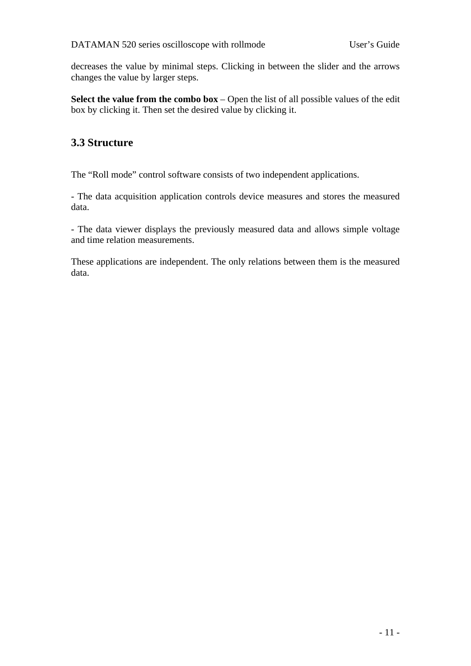<span id="page-10-0"></span>decreases the value by minimal steps. Clicking in between the slider and the arrows changes the value by larger steps.

**Select the value from the combo box** – Open the list of all possible values of the edit box by clicking it. Then set the desired value by clicking it.

### **3.3 Structure**

The "Roll mode" control software consists of two independent applications.

- The data acquisition application controls device measures and stores the measured data.

- The data viewer displays the previously measured data and allows simple voltage and time relation measurements.

These applications are independent. The only relations between them is the measured data.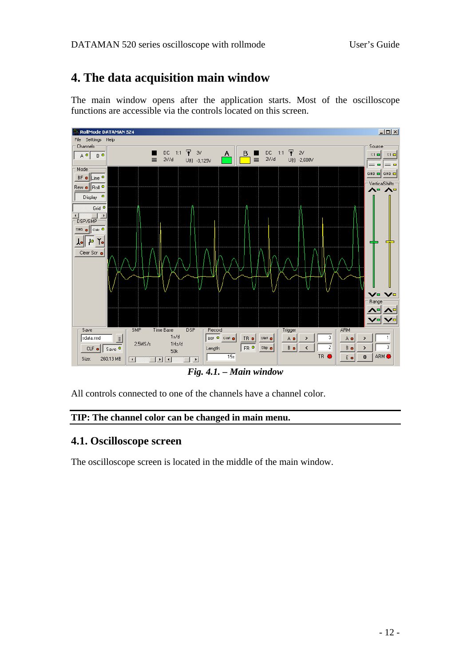## <span id="page-11-0"></span>**4. The data acquisition main window**

The main window opens after the application starts. Most of the oscilloscope functions are accessible via the controls located on this screen.



*Fig. 4.1. – Main window* 

All controls connected to one of the channels have a channel color.

#### **TIP: The channel color can be changed in main menu.**

### **4.1. Oscilloscope screen**

The oscilloscope screen is located in the middle of the main window.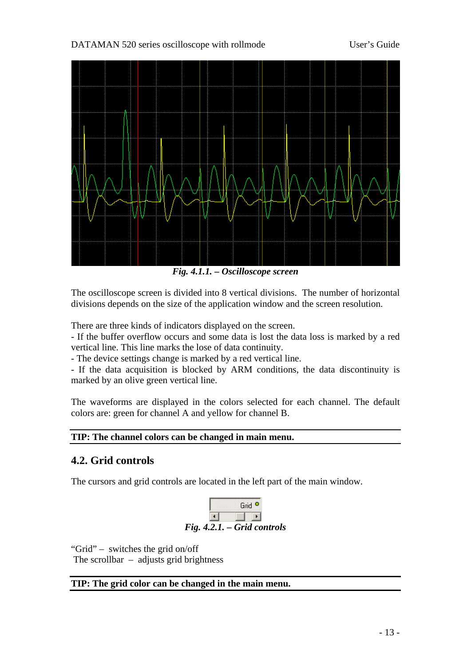<span id="page-12-0"></span>DATAMAN 520 series oscilloscope with rollmode User's Guide



*Fig. 4.1.1. – Oscilloscope screen* 

The oscilloscope screen is divided into 8 vertical divisions. The number of horizontal divisions depends on the size of the application window and the screen resolution.

There are three kinds of indicators displayed on the screen.

- If the buffer overflow occurs and some data is lost the data loss is marked by a red vertical line. This line marks the lose of data continuity.

- The device settings change is marked by a red vertical line.

- If the data acquisition is blocked by ARM conditions, the data discontinuity is marked by an olive green vertical line.

The waveforms are displayed in the colors selected for each channel. The default colors are: green for channel A and yellow for channel B.

#### **TIP: The channel colors can be changed in main menu.**

### **4.2. Grid controls**

The cursors and grid controls are located in the left part of the main window.



"Grid" – switches the grid on/off

The scrollbar  $-$  adjusts grid brightness

#### **TIP: The grid color can be changed in the main menu.**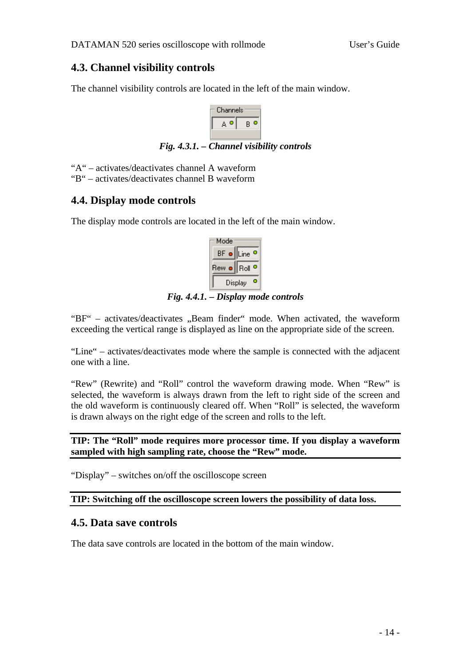### <span id="page-13-0"></span>**4.3. Channel visibility controls**

The channel visibility controls are located in the left of the main window.



*Fig. 4.3.1. – Channel visibility controls* 

"A" – activates/deactivates channel A waveform

"B" – activates/deactivates channel B waveform

### **4.4. Display mode controls**

The display mode controls are located in the left of the main window.

| Mode    |                   |
|---------|-------------------|
| BF o    | Line              |
| Rew oll | Roll <sup>1</sup> |
|         | Display           |

*Fig. 4.4.1. – Display mode controls* 

" $BF'$  – activates/deactivates "Beam finder" mode. When activated, the waveform exceeding the vertical range is displayed as line on the appropriate side of the screen.

"Line" – activates/deactivates mode where the sample is connected with the adjacent one with a line.

"Rew" (Rewrite) and "Roll" control the waveform drawing mode. When "Rew" is selected, the waveform is always drawn from the left to right side of the screen and the old waveform is continuously cleared off. When "Roll" is selected, the waveform is drawn always on the right edge of the screen and rolls to the left.

**TIP: The "Roll" mode requires more processor time. If you display a waveform sampled with high sampling rate, choose the "Rew" mode.** 

"Display" – switches on/off the oscilloscope screen

**TIP: Switching off the oscilloscope screen lowers the possibility of data loss.** 

### **4.5. Data save controls**

The data save controls are located in the bottom of the main window.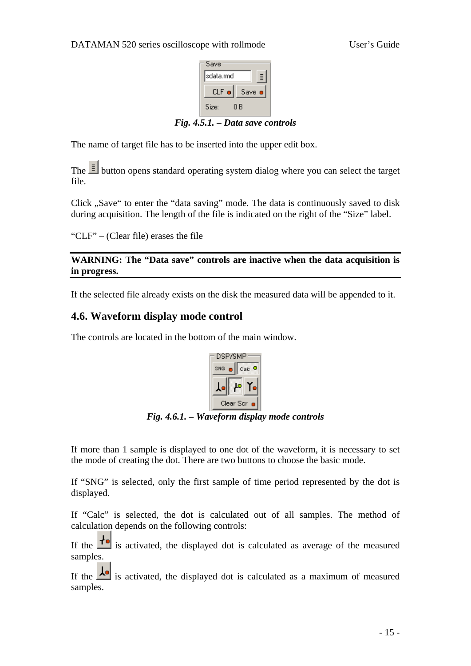

*Fig. 4.5.1. – Data save controls* 

<span id="page-14-0"></span>The name of target file has to be inserted into the upper edit box.

The  $\equiv$  button opens standard operating system dialog where you can select the target file.

Click "Save" to enter the "data saving" mode. The data is continuously saved to disk during acquisition. The length of the file is indicated on the right of the "Size" label.

"CLF" – (Clear file) erases the file

**WARNING: The "Data save" controls are inactive when the data acquisition is in progress.** 

If the selected file already exists on the disk the measured data will be appended to it.

#### **4.6. Waveform display mode control**

The controls are located in the bottom of the main window.



*Fig. 4.6.1. – Waveform display mode controls* 

If more than 1 sample is displayed to one dot of the waveform, it is necessary to set the mode of creating the dot. There are two buttons to choose the basic mode.

If "SNG" is selected, only the first sample of time period represented by the dot is displayed.

If "Calc" is selected, the dot is calculated out of all samples. The method of calculation depends on the following controls:

If the  $\mathbf{I}$  is activated, the displayed dot is calculated as average of the measured samples.

If the  $\frac{1}{\sqrt{2}}$  is activated, the displayed dot is calculated as a maximum of measured samples.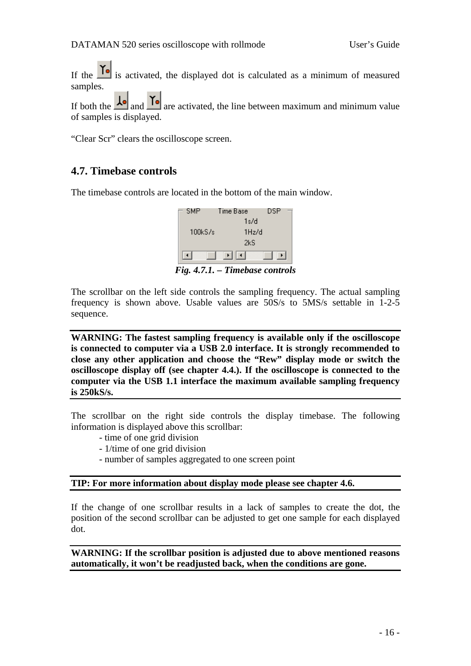<span id="page-15-0"></span>If the  $\Gamma$  is activated, the displayed dot is calculated as a minimum of measured samples.

If both the  $\frac{1}{\sqrt{2}}$  and  $\frac{1}{\sqrt{2}}$  are activated, the line between maximum and minimum value of samples is displayed.

"Clear Scr" clears the oscilloscope screen.

### **4.7. Timebase controls**

The timebase controls are located in the bottom of the main window.



*Fig. 4.7.1. – Timebase controls* 

The scrollbar on the left side controls the sampling frequency. The actual sampling frequency is shown above. Usable values are 50S/s to 5MS/s settable in 1-2-5 sequence.

**WARNING: The fastest sampling frequency is available only if the oscilloscope is connected to computer via a USB 2.0 interface. It is strongly recommended to close any other application and choose the "Rew" display mode or switch the oscilloscope display off (see chapter 4.4.). If the oscilloscope is connected to the computer via the USB 1.1 interface the maximum available sampling frequency is 250kS/s.** 

The scrollbar on the right side controls the display timebase. The following information is displayed above this scrollbar:

- time of one grid division
- 1/time of one grid division
- number of samples aggregated to one screen point

#### **TIP: For more information about display mode please see chapter 4.6.**

If the change of one scrollbar results in a lack of samples to create the dot, the position of the second scrollbar can be adjusted to get one sample for each displayed dot.

**WARNING: If the scrollbar position is adjusted due to above mentioned reasons automatically, it won't be readjusted back, when the conditions are gone.**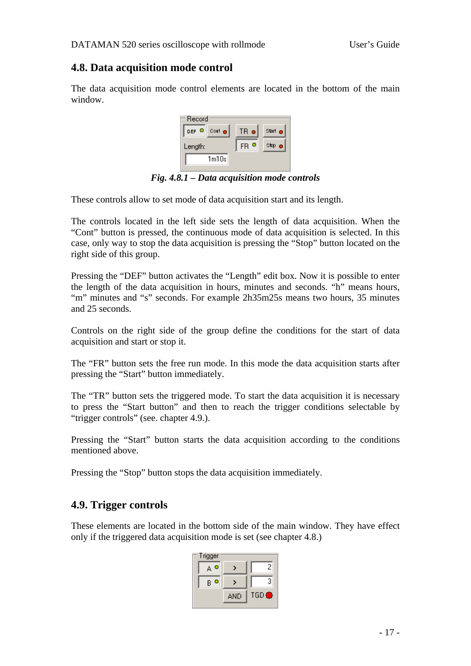### <span id="page-16-0"></span>**4.8. Data acquisition mode control**

The data acquisition mode control elements are located in the bottom of the main window.



*Fig. 4.8.1 – Data acquisition mode controls* 

These controls allow to set mode of data acquisition start and its length.

The controls located in the left side sets the length of data acquisition. When the "Cont" button is pressed, the continuous mode of data acquisition is selected. In this case, only way to stop the data acquisition is pressing the "Stop" button located on the right side of this group.

Pressing the "DEF" button activates the "Length" edit box. Now it is possible to enter the length of the data acquisition in hours, minutes and seconds. "h" means hours, "m" minutes and "s" seconds. For example 2h35m25s means two hours, 35 minutes and 25 seconds.

Controls on the right side of the group define the conditions for the start of data acquisition and start or stop it.

The "FR" button sets the free run mode. In this mode the data acquisition starts after pressing the "Start" button immediately.

The "TR" button sets the triggered mode. To start the data acquisition it is necessary to press the "Start button" and then to reach the trigger conditions selectable by "trigger controls" (see. chapter 4.9.).

Pressing the "Start" button starts the data acquisition according to the conditions mentioned above.

Pressing the "Stop" button stops the data acquisition immediately.

### **4.9. Trigger controls**

These elements are located in the bottom side of the main window. They have effect only if the triggered data acquisition mode is set (see chapter 4.8.)

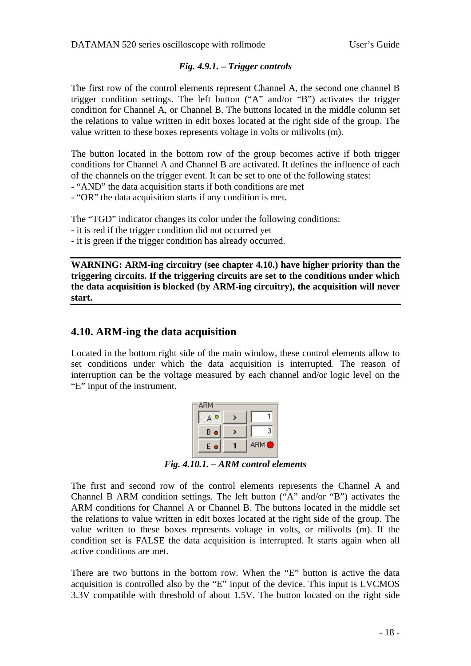#### *Fig. 4.9.1. – Trigger controls*

<span id="page-17-0"></span>The first row of the control elements represent Channel A, the second one channel B trigger condition settings. The left button ("A" and/or "B") activates the trigger condition for Channel A, or Channel B. The buttons located in the middle column set the relations to value written in edit boxes located at the right side of the group. The value written to these boxes represents voltage in volts or milivolts (m).

The button located in the bottom row of the group becomes active if both trigger conditions for Channel A and Channel B are activated. It defines the influence of each of the channels on the trigger event. It can be set to one of the following states:

- "AND" the data acquisition starts if both conditions are met

- "OR" the data acquisition starts if any condition is met.

The "TGD" indicator changes its color under the following conditions:

- it is red if the trigger condition did not occurred yet

- it is green if the trigger condition has already occurred.

**WARNING: ARM-ing circuitry (see chapter 4.10.) have higher priority than the triggering circuits. If the triggering circuits are set to the conditions under which the data acquisition is blocked (by ARM-ing circuitry), the acquisition will never start.** 

#### **4.10. ARM-ing the data acquisition**

Located in the bottom right side of the main window, these control elements allow to set conditions under which the data acquisition is interrupted. The reason of interruption can be the voltage measured by each channel and/or logic level on the "E" input of the instrument.

| З     |
|-------|
| ARM ● |
|       |

*Fig. 4.10.1. – ARM control elements* 

The first and second row of the control elements represents the Channel A and Channel B ARM condition settings. The left button ("A" and/or "B") activates the ARM conditions for Channel A or Channel B. The buttons located in the middle set the relations to value written in edit boxes located at the right side of the group. The value written to these boxes represents voltage in volts, or milivolts (m). If the condition set is FALSE the data acquisition is interrupted. It starts again when all active conditions are met.

There are two buttons in the bottom row. When the "E" button is active the data acquisition is controlled also by the "E" input of the device. This input is LVCMOS 3.3V compatible with threshold of about 1.5V. The button located on the right side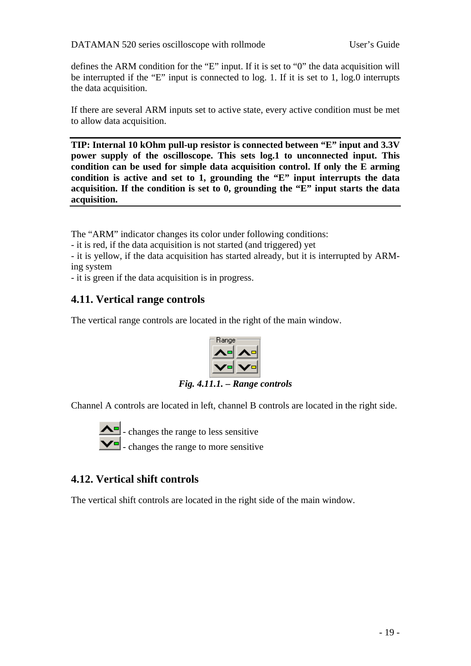<span id="page-18-0"></span>defines the ARM condition for the "E" input. If it is set to "0" the data acquisition will be interrupted if the "E" input is connected to log. 1. If it is set to 1, log.0 interrupts the data acquisition.

If there are several ARM inputs set to active state, every active condition must be met to allow data acquisition.

**TIP: Internal 10 kOhm pull-up resistor is connected between "E" input and 3.3V power supply of the oscilloscope. This sets log.1 to unconnected input. This condition can be used for simple data acquisition control. If only the E arming condition is active and set to 1, grounding the "E" input interrupts the data acquisition. If the condition is set to 0, grounding the "E" input starts the data acquisition.** 

The "ARM" indicator changes its color under following conditions:

- it is red, if the data acquisition is not started (and triggered) yet

- it is yellow, if the data acquisition has started already, but it is interrupted by ARMing system

- it is green if the data acquisition is in progress.

### **4.11. Vertical range controls**

The vertical range controls are located in the right of the main window.



*Fig. 4.11.1. – Range controls* 

Channel A controls are located in left, channel B controls are located in the right side.



 - changes the range to less sensitive - changes the range to more sensitive

### **4.12. Vertical shift controls**

The vertical shift controls are located in the right side of the main window.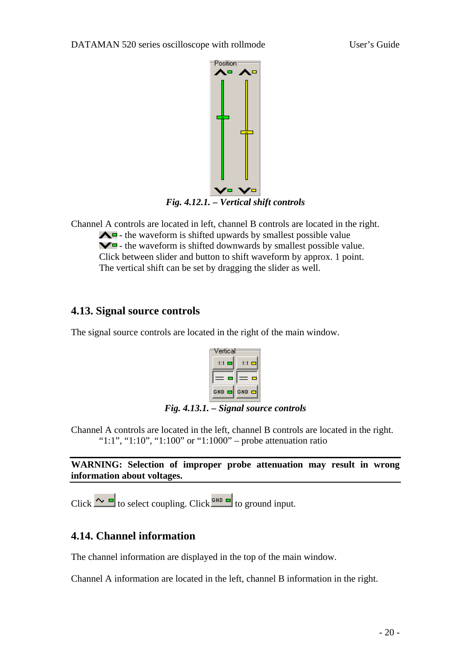<span id="page-19-0"></span>

Channel A controls are located in left, channel B controls are located in the right.  $\triangle$  - the waveform is shifted upwards by smallest possible value  $\blacktriangleright$  - the waveform is shifted downwards by smallest possible value. Click between slider and button to shift waveform by approx. 1 point. The vertical shift can be set by dragging the slider as well.

### **4.13. Signal source controls**

The signal source controls are located in the right of the main window.



*Fig. 4.13.1. – Signal source controls* 

Channel A controls are located in the left, channel B controls are located in the right. "1:1", "1:10", "1:100" or "1:1000" – probe attenuation ratio

**WARNING: Selection of improper probe attenuation may result in wrong information about voltages.** 

Click  $\sim$   $\blacksquare$  to select coupling. Click  $\blacksquare$  to ground input.

### **4.14. Channel information**

The channel information are displayed in the top of the main window.

Channel A information are located in the left, channel B information in the right.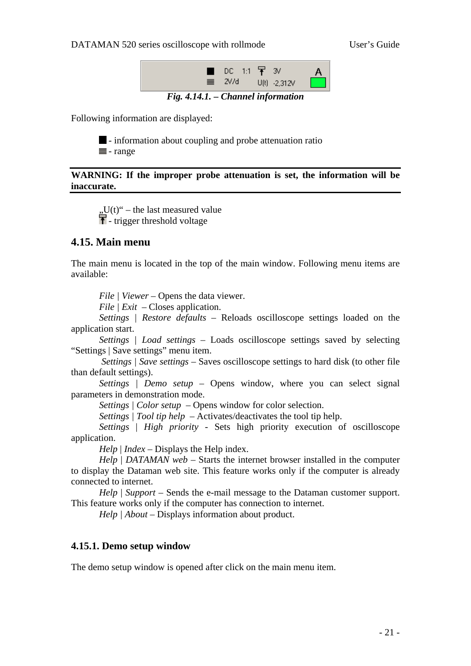<span id="page-20-0"></span>DATAMAN 520 series oscilloscope with rollmode User's Guide



*Fig. 4.14.1. – Channel information* 

Following information are displayed:



 $\blacksquare$  - information about coupling and probe attenuation ratio  $\equiv$  - range

#### **WARNING: If the improper probe attenuation is set, the information will be inaccurate.**

 $U(t)$ " – the last measured value  $\mathbf{F}$  - trigger threshold voltage

#### **4.15. Main menu**

The main menu is located in the top of the main window. Following menu items are available:

*File | Viewer* – Opens the data viewer.

*File | Exit –* Closes application.

*Settings | Restore defaults –* Reloads oscilloscope settings loaded on the application start.

*Settings | Load settings* – Loads oscilloscope settings saved by selecting "Settings | Save settings" menu item.

 *Settings | Save settings –* Saves oscilloscope settings to hard disk (to other file than default settings).

*Settings | Demo setup –* Opens window, where you can select signal parameters in demonstration mode.

*Settings | Color setup* – Opens window for color selection.

*Settings | Tool tip help* – Activates/deactivates the tool tip help.

*Settings* | *High priority* - Sets high priority execution of oscilloscope application.

*Help* | *Index –* Displays the Help index.

*Help* | *DATAMAN web* – Starts the internet browser installed in the computer to display the Dataman web site. This feature works only if the computer is already connected to internet.

*Help* | *Support* – Sends the e-mail message to the Dataman customer support. This feature works only if the computer has connection to internet.

*Help | About – Displays information about product.* 

#### **4.15.1. Demo setup window**

The demo setup window is opened after click on the main menu item.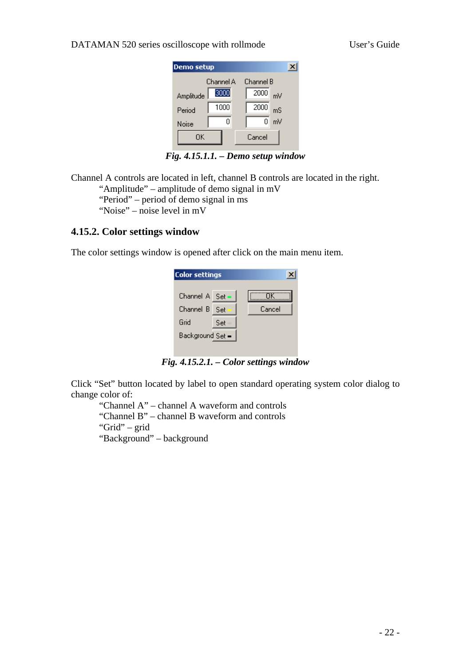#### <span id="page-21-0"></span>DATAMAN 520 series oscilloscope with rollmode User's Guide

| <b>Demo</b> setup |           |            |  |
|-------------------|-----------|------------|--|
|                   | Channel A | Channel B  |  |
| Amplitude         | 3000      | 2000<br>mV |  |
| Period            | 1000      | 2000<br>mS |  |
| Noise             | Ω         | mV<br>0    |  |
| ΠK                |           | Cancel     |  |
|                   |           |            |  |

*Fig. 4.15.1.1. – Demo setup window* 

Channel A controls are located in left, channel B controls are located in the right. "Amplitude" – amplitude of demo signal in mV

"Period" – period of demo signal in ms

"Noise" – noise level in mV

#### **4.15.2. Color settings window**

The color settings window is opened after click on the main menu item.

| <b>Color settings</b> |      |        |
|-----------------------|------|--------|
| Channel $A$ Set $=$   |      | ΠK     |
| Channel B             | -Set | Cancel |
| Grid                  | Set  |        |
| Background Set =      |      |        |
|                       |      |        |

*Fig. 4.15.2.1. – Color settings window* 

Click "Set" button located by label to open standard operating system color dialog to change color of:

 "Channel A" – channel A waveform and controls "Channel B" – channel B waveform and controls "Grid" – grid

"Background" – background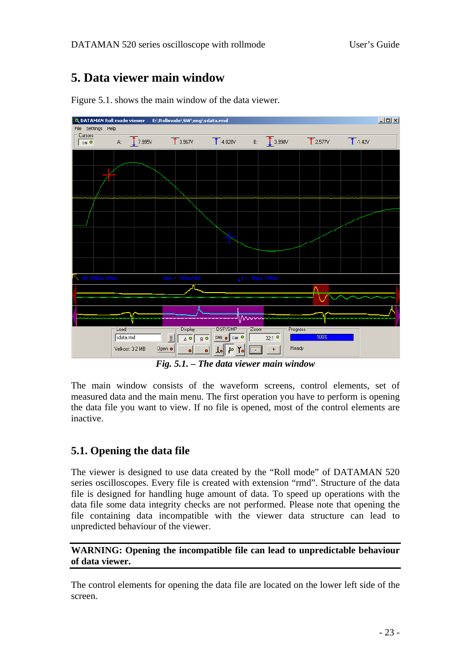## <span id="page-22-0"></span>**5. Data viewer main window**



Figure 5.1. shows the main window of the data viewer.

*Fig. 5.1. – The data viewer main window* 

The main window consists of the waveform screens, control elements, set of measured data and the main menu. The first operation you have to perform is opening the data file you want to view. If no file is opened, most of the control elements are inactive.

### **5.1. Opening the data file**

The viewer is designed to use data created by the "Roll mode" of DATAMAN 520 series oscilloscopes. Every file is created with extension "rmd". Structure of the data file is designed for handling huge amount of data. To speed up operations with the data file some data integrity checks are not performed. Please note that opening the file containing data incompatible with the viewer data structure can lead to unpredicted behaviour of the viewer.

#### **WARNING: Opening the incompatible file can lead to unpredictable behaviour of data viewer.**

The control elements for opening the data file are located on the lower left side of the screen.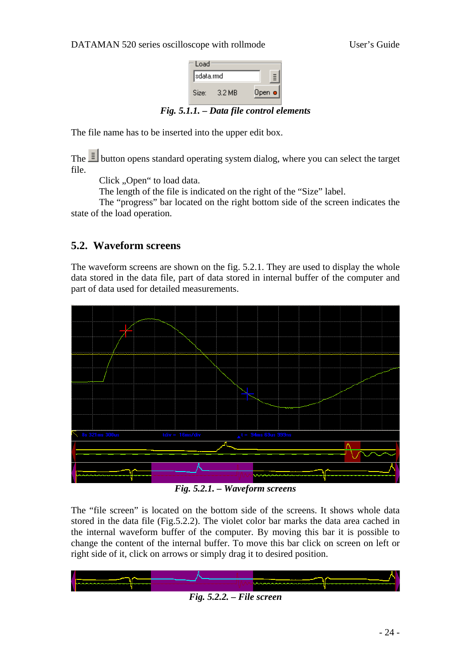

*Fig. 5.1.1. – Data file control elements* 

<span id="page-23-0"></span>The file name has to be inserted into the upper edit box.

The  $\equiv$  button opens standard operating system dialog, where you can select the target file.

Click "Open" to load data.

The length of the file is indicated on the right of the "Size" label.

The "progress" bar located on the right bottom side of the screen indicates the state of the load operation.

### **5.2. Waveform screens**

The waveform screens are shown on the fig. 5.2.1. They are used to display the whole data stored in the data file, part of data stored in internal buffer of the computer and part of data used for detailed measurements.



*Fig. 5.2.1. – Waveform screens* 

The "file screen" is located on the bottom side of the screens. It shows whole data stored in the data file (Fig.5.2.2). The violet color bar marks the data area cached in the internal waveform buffer of the computer. By moving this bar it is possible to change the content of the internal buffer. To move this bar click on screen on left or right side of it, click on arrows or simply drag it to desired position.



- 24 -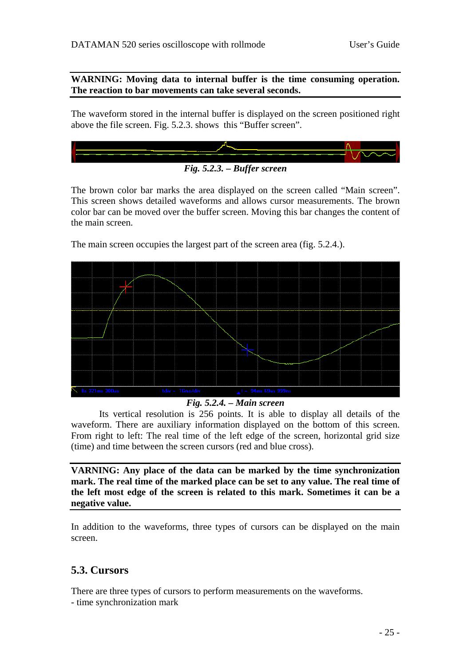<span id="page-24-0"></span>**WARNING: Moving data to internal buffer is the time consuming operation. The reaction to bar movements can take several seconds.** 

The waveform stored in the internal buffer is displayed on the screen positioned right above the file screen. Fig. 5.2.3. shows this "Buffer screen".



The brown color bar marks the area displayed on the screen called "Main screen". This screen shows detailed waveforms and allows cursor measurements. The brown color bar can be moved over the buffer screen. Moving this bar changes the content of the main screen.

The main screen occupies the largest part of the screen area (fig. 5.2.4.).

#### *Fig. 5.2.4. – Main screen*

Its vertical resolution is 256 points. It is able to display all details of the waveform. There are auxiliary information displayed on the bottom of this screen. From right to left: The real time of the left edge of the screen, horizontal grid size (time) and time between the screen cursors (red and blue cross).

**VARNING: Any place of the data can be marked by the time synchronization mark. The real time of the marked place can be set to any value. The real time of the left most edge of the screen is related to this mark. Sometimes it can be a negative value.** 

In addition to the waveforms, three types of cursors can be displayed on the main screen.

### **5.3. Cursors**

There are three types of cursors to perform measurements on the waveforms.

- time synchronization mark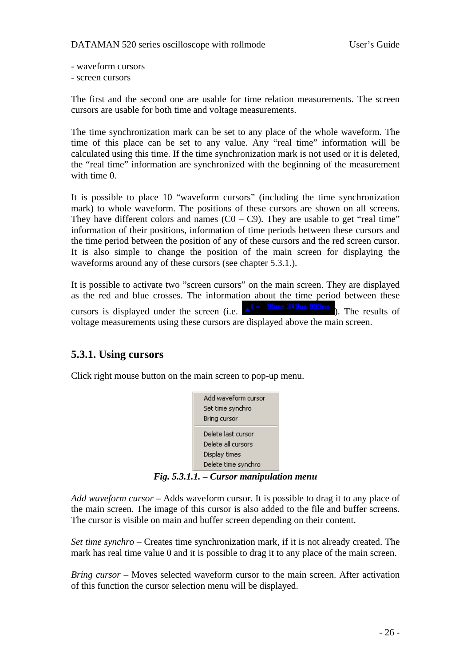- <span id="page-25-0"></span>- waveform cursors
- screen cursors

The first and the second one are usable for time relation measurements. The screen cursors are usable for both time and voltage measurements.

The time synchronization mark can be set to any place of the whole waveform. The time of this place can be set to any value. Any "real time" information will be calculated using this time. If the time synchronization mark is not used or it is deleted, the "real time" information are synchronized with the beginning of the measurement with time 0.

It is possible to place 10 "waveform cursors" (including the time synchronization mark) to whole waveform. The positions of these cursors are shown on all screens. They have different colors and names  $(C0 - C9)$ . They are usable to get "real time" information of their positions, information of time periods between these cursors and the time period between the position of any of these cursors and the red screen cursor. It is also simple to change the position of the main screen for displaying the waveforms around any of these cursors (see chapter 5.3.1.).

It is possible to activate two "screen cursors" on the main screen. They are displayed as the red and blue crosses. The information about the time period between these cursors is displayed under the screen (i.e.  $\triangle^t = \frac{95 \text{ms}}{349 \text{us}} \frac{349 \text{ms}}{999 \text{ns}}$ ). The results of voltage measurements using these cursors are displayed above the main screen.

### **5.3.1. Using cursors**

Click right mouse button on the main screen to pop-up menu.



*Fig. 5.3.1.1. – Cursor manipulation menu* 

*Add waveform cursor* – Adds waveform cursor. It is possible to drag it to any place of the main screen. The image of this cursor is also added to the file and buffer screens. The cursor is visible on main and buffer screen depending on their content.

*Set time synchro* – Creates time synchronization mark, if it is not already created. The mark has real time value 0 and it is possible to drag it to any place of the main screen.

*Bring cursor* – Moves selected waveform cursor to the main screen. After activation of this function the cursor selection menu will be displayed.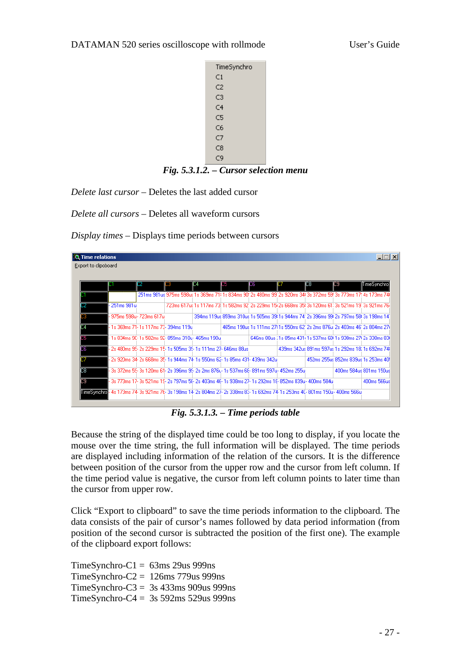#### <span id="page-26-0"></span>DATAMAN 520 series oscilloscope with rollmode User's Guide



*Fig. 5.3.1.2. – Cursor selection menu* 

*Delete last cursor –* Deletes the last added cursor

*Delete all cursors –* Deletes all waveform cursors

*Display times* – Displays time periods between cursors

| <b>Q</b> Time relations |                                                                                                                                   |                                                                  |    |     |                                                                                                                                 |     |                                                                              |     |                                                  | $ \Box$ $\times$ |
|-------------------------|-----------------------------------------------------------------------------------------------------------------------------------|------------------------------------------------------------------|----|-----|---------------------------------------------------------------------------------------------------------------------------------|-----|------------------------------------------------------------------------------|-----|--------------------------------------------------|------------------|
| Export to clipoboard    |                                                                                                                                   |                                                                  |    |     |                                                                                                                                 |     |                                                                              |     |                                                  |                  |
|                         |                                                                                                                                   |                                                                  |    |     |                                                                                                                                 |     |                                                                              |     |                                                  |                  |
|                         |                                                                                                                                   | C2                                                               | 33 | ID4 | ID5                                                                                                                             | IC6 | D                                                                            | IC8 | IC9                                              | TimeSynchro      |
|                         |                                                                                                                                   |                                                                  |    |     | 251 ms 981 us 975 ms 598 us 1 s 369 ms 71 i 1 s 834 ms 90" 2s 480 ms 99" 2s 920 ms 341 3s 372 ms 59! 3s 773 ms 17! 4s 173 ms 74 |     |                                                                              |     |                                                  |                  |
|                         | 251ms 981u                                                                                                                        |                                                                  |    |     | 723ms 617us 1s 117ms 73  1s 582ms 92' 2s 229ms 15i 2s 668ms 35i 3s 120ms 61: 3s 521ms 19' 3s 921ms 76                           |     |                                                                              |     |                                                  |                  |
|                         |                                                                                                                                   | - 975ms 598u - 723ms 617u                                        |    |     | 394ms 119us 859ms 310us 1s 505ms 39(1s 944ms 74) 2s 396ms 99(2s 797ms 58(3s 198ms 14)                                           |     |                                                                              |     |                                                  |                  |
| 14                      |                                                                                                                                   | l- 1s 369ms 71- 1s 117ms 73- 394ms 119u                          |    |     |                                                                                                                                 |     | 465ms 190us 1s 111ms 27; 1s 550ms 62' 2s 2ms 876u; 2s 403ms 46' 2s 804ms 27} |     |                                                  |                  |
| Шh                      | l- 1s 834ms 9C- 1s 582ms 92- 859ms 310u- 465ms 190u                                                                               |                                                                  |    |     |                                                                                                                                 |     | 646ms 88us ; 1s 85ms 431+1s 537ms 68I 1s 938ms 27I 2s 338ms 83I              |     |                                                  |                  |
| DБ                      |                                                                                                                                   | - 2s 480ms 95- 2s 229ms 15- 1s 505ms 35- 1s 111ms 27- 646ms 88us |    |     |                                                                                                                                 |     |                                                                              |     | 439ms 342us 891ms 597us 1s 292ms 18, 1s 692ms 74 |                  |
|                         |                                                                                                                                   |                                                                  |    |     | - 2s 920ms 34- 2s 668ms 35- 1s 944ms 74- 1s 550ms 62- 1s 85ms 431- 439ms 342u                                                   |     |                                                                              |     | 452ms 255us 852ms 839us 1s 253ms 40!             |                  |
| C8                      |                                                                                                                                   |                                                                  |    |     | - 3s 372ms 55- 3s 120ms 61- 2s 396ms 95- 2s 2ms 876u- 1s 537ms 66- 891ms 597u- 452ms 255u                                       |     |                                                                              |     | 400ms 584us 801ms 150us                          |                  |
| 09                      |                                                                                                                                   |                                                                  |    |     | - 3s 773ms 17- 3s 521ms 15- 2s 797ms 56- 2s 403ms 46- 1s 938ms 27- 1s 292ms 16- 852ms 839u- 400ms 584u                          |     |                                                                              |     |                                                  | 400ms 566us      |
|                         | <b>TimeSonehrul</b> - 4s 173ms 74-3s 921ms 7E-3s 198ms 14-2s 804ms 27-2s 338ms 85-1s 692ms 74-1s 253ms 4C-801ms 150u - 400ms 566u |                                                                  |    |     |                                                                                                                                 |     |                                                                              |     |                                                  |                  |

*Fig. 5.3.1.3. – Time periods table* 

Because the string of the displayed time could be too long to display, if you locate the mouse over the time string, the full information will be displayed. The time periods are displayed including information of the relation of the cursors. It is the difference between position of the cursor from the upper row and the cursor from left column. If the time period value is negative, the cursor from left column points to later time than the cursor from upper row.

Click "Export to clipboard" to save the time periods information to the clipboard. The data consists of the pair of cursor's names followed by data period information (from position of the second cursor is subtracted the position of the first one). The example of the clipboard export follows:

 $TimeSynchro-C1 = 63ms 29us 999ns$ TimeSynchro-C2 =  $126 \text{ms}$  779us 999ns TimeSynchro-C3 = 3s 433ms 909us 999ns TimeSynchro-C $4 = 3s$  592ms 529us 999ns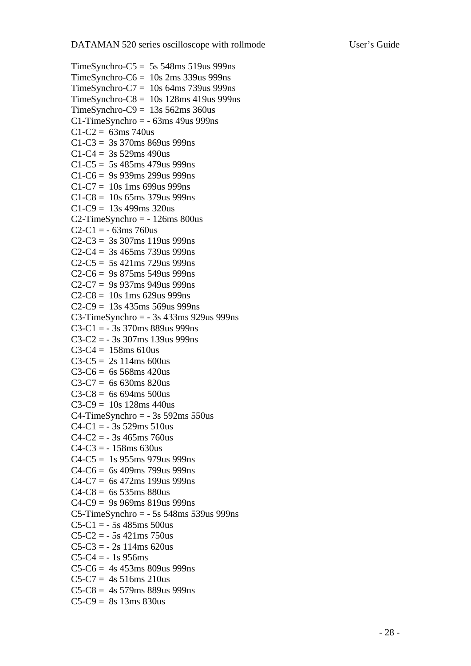```
TimeSynchro-C5 = 5s 548ms 519us 999ns
TimeSynchro-C6 = 10s 2ms 339us 999ns
TimeSynchro-C7 = 10s 64ms 739us 999ns 
TimeSynchro-C8 = 10s 128ms 419us 999ns 
TimeSynchro-C9 = 13s\,562\,\text{ms}\,360\,\text{us}C1-TimeSynchro = -63ms 49us 999ns
C1-C2 = 63ms 740us
C1-C3 = 3s 370ms 869us 999ns
C1-C4 = 3s 529ms 490us
C1-C5 = 5s 485ms 479us 999ns
C1-C6 = 9s 939ms 299us 999nsC1-C7 = 10s 1ms 699us 999ns
C1-C8 = 10s 65ms 379us 999ns
C1-C9 = 13s 499ms 320usC2-TimeSynchro = -126ms 800us
C2-C1 = -63ms 760us
C2-C3 = 3s 307ms 119us 999ns
C2-C4 = 3s \, 465 \, \text{ms} \, 739 \, \text{us} \, 999 \, \text{ns}C2-C5 = 5s 421ms 729us 999ns
C2-C6 = 9s 875ms 549us 999ns
C2-C7 = 9s 937ms 949us 999nsC2-C8 = 10s 1ms 629us 999ns
C2-C9 = 13s 435ms 569us 999nsC3-TimeSynchro = - 3s 433ms 929us 999ns
C3-C1 = -3s 370ms 889us 999ns
C3-C2 = -3s 307ms 139us 999ns
C3-C4 = 158ms 610us
C3-C5 = 2s 114ms 600us
C3-C6 = 6s 568ms 420usC3-C7 = 6s 630ms 820us
C3-C8 = 6s 694ms 500usC3-C9 = 10s 128ms 440us
C4-TimeSynchro = -3s 592ms 550us
C4-C1 = -3s 529ms 510us
C4-C2 = -3s 465ms 760us
C4-C3 = -158ms 630us
C4-C5 = 1s 955ms 979us 999ns
C4-C6 = 6s 409ms 799us 999ns
C4-C7 = 6s 472ms 199us 999ns
C4-C8 = 6s 535ms 880us
C4-C9 = 9s 969ms 819us 999nsC5-TimeSynchro = - 5s 548ms 539us 999ns 
C5-C1 = -5s 485ms 500us
C5-C2 = -5s 421ms 750us
C5-C3 = -2s 114ms 620us
C5-C4 = -1s 956ms
C5-C6 = 4s 453ms 809us 999ns
C5-C7 = 4s 516ms 210us
C5-C8 = 4s 579ms 889us 999nsC5-C9 = 8s 13ms 830us
```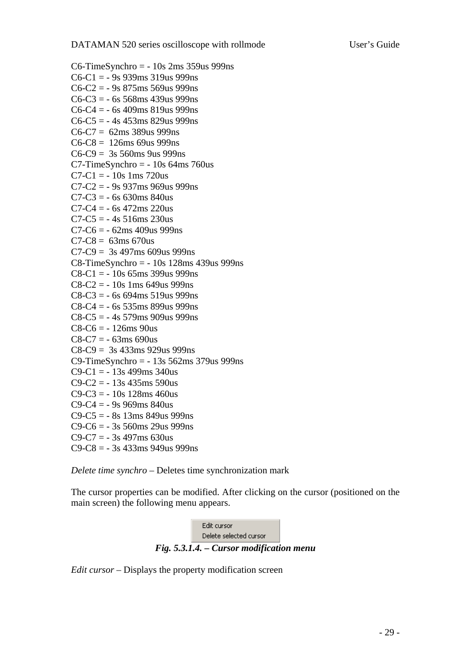```
C6-TimeSynchro = - 10s 2ms 359us 999ns
C6-C1 = -9s 939ms 319us 999ns
C6-C2 = -9s 875ms 569us 999ns
C6-C3 = -6s 568ms 439us 999ns
C6-C4 = -6s 409ms 819us 999ns
C6-C5 = -4s 453ms 829us 999nsC6-C7 = 62ms 389us 999nsC6-C8 = 126ms 69us 999ns
C6-C9 = 3s 560ms 9us 999ns
C7-TimeSynchro = - 10s 64ms 760us
C7-C1 = -10s 1ms 720us
C7-C2 = -9s 937ms 969us 999nsC7-C3 = -6s 630ms 840us
C7-C4 = -6s 472ms 220us
C7-C5 = -4s 516ms 230usC7-C6 = -62ms\,409us\,999nsC7-C8 = 63ms 670us
C7-C9 = 3s 497ms 609us 999ns
C8-TimeSynchro = - 10s 128ms 439us 999ns 
C8-C1 = -10s 65ms 399us 999ns
C8-C2 = -10s 1ms 649us 999ns
C8-C3 = -6s 694ms 519us 999nsC8-C4 = -6s 535ms 899us 999ns
C8-C5 = -4s 579ms 909us 999ns
C8-C6 = -126ms 90us
C8-C7 = -63ms690usC8-C9 = 3s 433ms 929us 999ns 
C9-TimeSynchro = - 13s 562ms 379us 999ns 
C9 - C1 = -13s 499ms 340us
C9-C2 = -13s 435ms 590usC9-C3 = -10s 128ms 460us
C9 - C4 = -9s 969ms 840us
C9 - C5 = -8s 13ms 849us 999ns
C9 - C6 = -3s 560ms 29us 999ns
C9 - C7 = -3s 497ms 630us
C9-C8 = -3s 433ms 949us 999ns
```
*Delete time synchro –* Deletes time synchronization mark

The cursor properties can be modified. After clicking on the cursor (positioned on the main screen) the following menu appears.



*Edit cursor* – Displays the property modification screen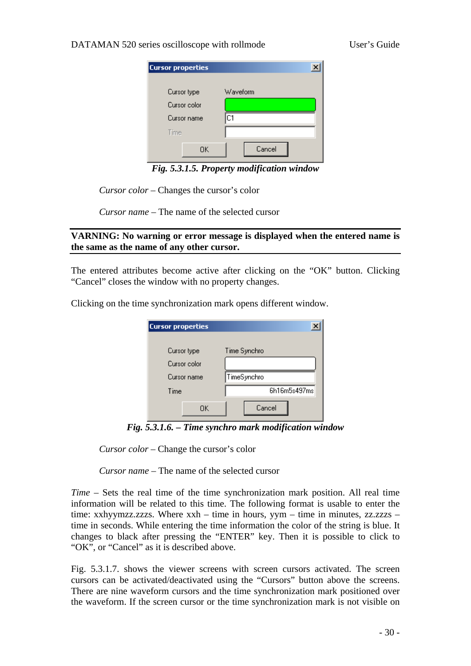#### <span id="page-29-0"></span>DATAMAN 520 series oscilloscope with rollmode User's Guide

| <b>Cursor properties</b> |          |
|--------------------------|----------|
| Cursor type              | Waveform |
| Cursor color             |          |
| Cursor name              | C1       |
| Time                     |          |
| ΟK                       | Cancel   |

*Fig. 5.3.1.5. Property modification window* 

*Cursor color* – Changes the cursor's color

*Cursor name* – The name of the selected cursor

#### **VARNING: No warning or error message is displayed when the entered name is the same as the name of any other cursor.**

The entered attributes become active after clicking on the "OK" button. Clicking "Cancel" closes the window with no property changes.

Clicking on the time synchronization mark opens different window.

| <b>Cursor properties</b>    |              |
|-----------------------------|--------------|
| Cursor type<br>Cursor color | Time Synchro |
| Cursor name                 | TimeSynchro  |
| Time                        | 6h16m5s497ms |
| ΟK                          | Cancel       |

*Fig. 5.3.1.6. – Time synchro mark modification window* 

*Cursor color* – Change the cursor's color

*Cursor name* – The name of the selected cursor

*Time* – Sets the real time of the time synchronization mark position. All real time information will be related to this time. The following format is usable to enter the time: xxhyymzz.zzzs. Where xxh – time in hours, yym – time in minutes, zz.zzzs – time in seconds. While entering the time information the color of the string is blue. It changes to black after pressing the "ENTER" key. Then it is possible to click to "OK", or "Cancel" as it is described above.

Fig. 5.3.1.7. shows the viewer screens with screen cursors activated. The screen cursors can be activated/deactivated using the "Cursors" button above the screens. There are nine waveform cursors and the time synchronization mark positioned over the waveform. If the screen cursor or the time synchronization mark is not visible on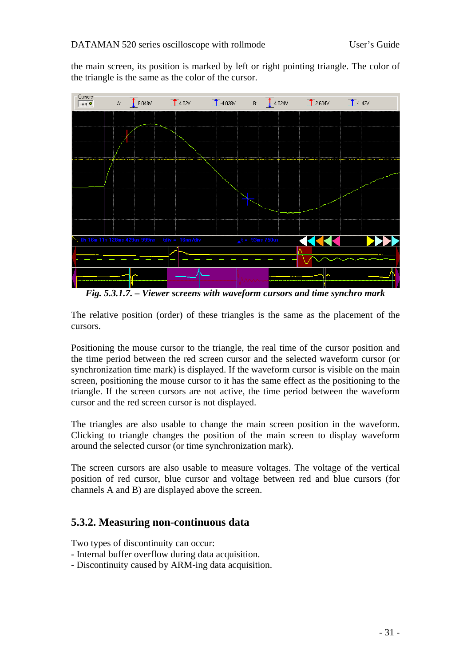<span id="page-30-0"></span>the main screen, its position is marked by left or right pointing triangle. The color of the triangle is the same as the color of the cursor.



*Fig. 5.3.1.7. – Viewer screens with waveform cursors and time synchro mark* 

The relative position (order) of these triangles is the same as the placement of the cursors.

Positioning the mouse cursor to the triangle, the real time of the cursor position and the time period between the red screen cursor and the selected waveform cursor (or synchronization time mark) is displayed. If the waveform cursor is visible on the main screen, positioning the mouse cursor to it has the same effect as the positioning to the triangle. If the screen cursors are not active, the time period between the waveform cursor and the red screen cursor is not displayed.

The triangles are also usable to change the main screen position in the waveform. Clicking to triangle changes the position of the main screen to display waveform around the selected cursor (or time synchronization mark).

The screen cursors are also usable to measure voltages. The voltage of the vertical position of red cursor, blue cursor and voltage between red and blue cursors (for channels A and B) are displayed above the screen.

### **5.3.2. Measuring non-continuous data**

Two types of discontinuity can occur:

- Internal buffer overflow during data acquisition.
- Discontinuity caused by ARM-ing data acquisition.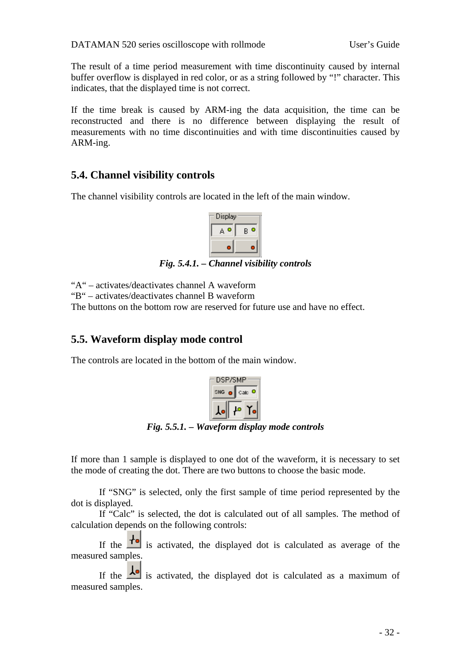<span id="page-31-0"></span>The result of a time period measurement with time discontinuity caused by internal buffer overflow is displayed in red color, or as a string followed by "!" character. This indicates, that the displayed time is not correct.

If the time break is caused by ARM-ing the data acquisition, the time can be reconstructed and there is no difference between displaying the result of measurements with no time discontinuities and with time discontinuities caused by ARM-ing.

### **5.4. Channel visibility controls**

The channel visibility controls are located in the left of the main window.



*Fig. 5.4.1. – Channel visibility controls* 

"A" – activates/deactivates channel A waveform

"B" – activates/deactivates channel B waveform

The buttons on the bottom row are reserved for future use and have no effect.

### **5.5. Waveform display mode control**

The controls are located in the bottom of the main window.



*Fig. 5.5.1. – Waveform display mode controls* 

If more than 1 sample is displayed to one dot of the waveform, it is necessary to set the mode of creating the dot. There are two buttons to choose the basic mode.

If "SNG" is selected, only the first sample of time period represented by the dot is displayed.

If "Calc" is selected, the dot is calculated out of all samples. The method of calculation depends on the following controls:

If the  $\mathbf{f}^{\bullet}$  is activated, the displayed dot is calculated as average of the measured samples.

If the  $\frac{1}{\sqrt{2}}$  is activated, the displayed dot is calculated as a maximum of measured samples.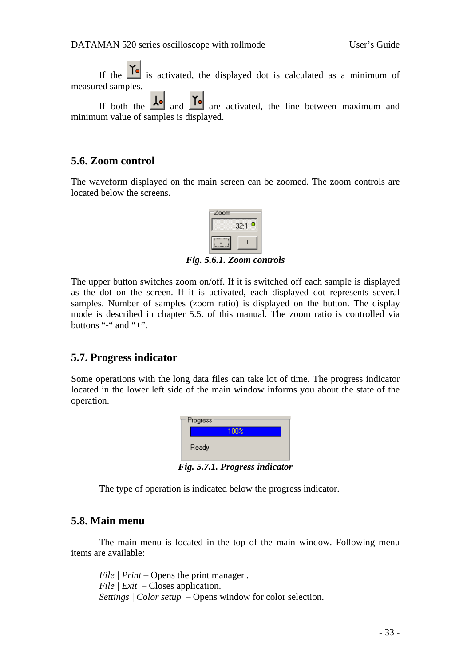<span id="page-32-0"></span>If the  $\overline{I}$  is activated, the displayed dot is calculated as a minimum of measured samples.

If both the  $\frac{1}{\sqrt{2}}$  and  $\frac{1}{\sqrt{2}}$  are activated, the line between maximum and minimum value of samples is displayed.

#### **5.6. Zoom control**

The waveform displayed on the main screen can be zoomed. The zoom controls are located below the screens.



*Fig. 5.6.1. Zoom controls* 

The upper button switches zoom on/off. If it is switched off each sample is displayed as the dot on the screen. If it is activated, each displayed dot represents several samples. Number of samples (zoom ratio) is displayed on the button. The display mode is described in chapter 5.5. of this manual. The zoom ratio is controlled via buttons "-" and "+".

#### **5.7. Progress indicator**

Some operations with the long data files can take lot of time. The progress indicator located in the lower left side of the main window informs you about the state of the operation.

| 100%  |
|-------|
|       |
| Ready |

*Fig. 5.7.1. Progress indicator* 

The type of operation is indicated below the progress indicator.

#### **5.8. Main menu**

 The main menu is located in the top of the main window. Following menu items are available:

*File | Print –* Opens the print manager *. File | Exit –* Closes application. *Settings | Color setup* – Opens window for color selection.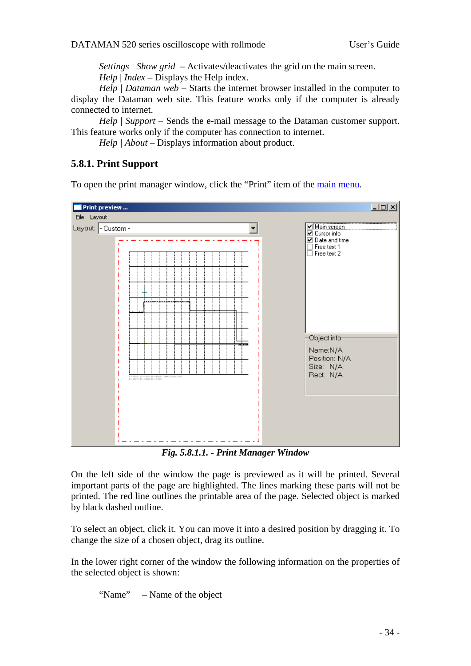*Settings | Show grid* – Activates/deactivates the grid on the main screen. *Help* | *Index –* Displays the Help index.

<span id="page-33-0"></span>*Help* | *Dataman web* – Starts the internet browser installed in the computer to display the Dataman web site. This feature works only if the computer is already connected to internet.

*Help* | *Support* – Sends the e-mail message to the Dataman customer support. This feature works only if the computer has connection to internet.

*Help | About* – Displays information about product.

#### **5.8.1. Print Support**

To open the print manager window, click the "Print" item of the [main menu](#page-0-0).



*Fig. 5.8.1.1. - Print Manager Window* 

On the left side of the window the page is previewed as it will be printed. Several important parts of the page are highlighted. The lines marking these parts will not be printed. The red line outlines the printable area of the page. Selected object is marked by black dashed outline.

To select an object, click it. You can move it into a desired position by dragging it. To change the size of a chosen object, drag its outline.

In the lower right corner of the window the following information on the properties of the selected object is shown:

"Name" – Name of the object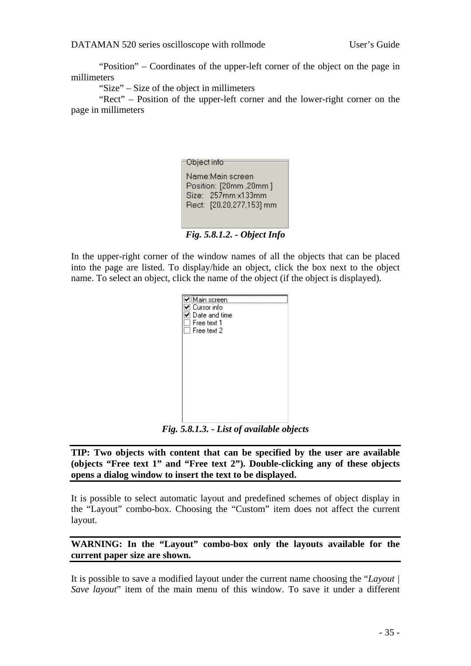<span id="page-34-0"></span>DATAMAN 520 series oscilloscope with rollmode User's Guide

"Position" – Coordinates of the upper-left corner of the object on the page in millimeters

"Size" – Size of the object in millimeters

"Rect" – Position of the upper-left corner and the lower-right corner on the page in millimeters

| Object info                                                                                         |  |
|-----------------------------------------------------------------------------------------------------|--|
| Name:Main screen<br>Position: [20mm,20mm]<br>$Size: 257mm \times 133mm$<br>Rect: [20,20,277,153] mm |  |

*Fig. 5.8.1.2. - Object Info* 

In the upper-right corner of the window names of all the objects that can be placed into the page are listed. To display/hide an object, click the box next to the object name. To select an object, click the name of the object (if the object is displayed).

| ☑ Main screen<br>⊿ Cursor info<br>$\mathsf{\Sigma}\hspace{1pt}\mathsf{D}$ ate and time<br>Free text 1<br>$\Box$ Free text 2 |  |
|-----------------------------------------------------------------------------------------------------------------------------|--|
|                                                                                                                             |  |
|                                                                                                                             |  |

*Fig. 5.8.1.3. - List of available objects* 

**TIP: Two objects with content that can be specified by the user are available (objects "Free text 1" and "Free text 2"). Double-clicking any of these objects opens a dialog window to insert the text to be displayed.** 

It is possible to select automatic layout and predefined schemes of object display in the "Layout" combo-box. Choosing the "Custom" item does not affect the current layout.

**WARNING: In the "Layout" combo-box only the layouts available for the current paper size are shown.** 

It is possible to save a modified layout under the current name choosing the "*Layout | Save layout*" item of the main menu of this window. To save it under a different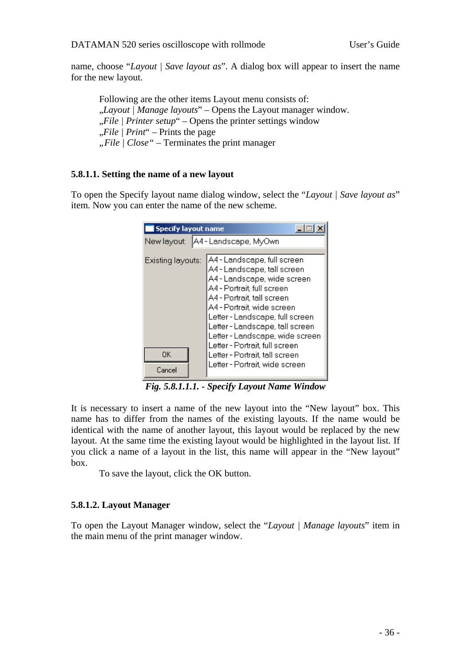<span id="page-35-0"></span>name, choose "*Layout | Save layout as*". A dialog box will appear to insert the name for the new layout.

Following are the other items Layout menu consists of: "*Layout | Manage layouts*" – Opens the Layout manager window. "*File | Printer setup*" – Opens the printer settings window "*File | Print*" – Prints the page *"File | Close" –* Terminates the print manager

#### **5.8.1.1. Setting the name of a new layout**

To open the Specify layout name dialog window, select the "*Layout | Save layout as*" item. Now you can enter the name of the new scheme.

| <b>Specify layout name</b>           |                                                                                                                                                                                                                                                                                              |  |  |  |
|--------------------------------------|----------------------------------------------------------------------------------------------------------------------------------------------------------------------------------------------------------------------------------------------------------------------------------------------|--|--|--|
| A4 - Landscape, MyOwn<br>New layout: |                                                                                                                                                                                                                                                                                              |  |  |  |
| Existing layouts:                    | A4 - Landscape, full screen<br>A4 - Landscape, tall screen<br>A4 - Landscape, wide screen<br>A4 - Portrait, full screen<br>A4 - Portrait, tall screen<br>A4 - Portrait, wide screen<br>Letter - Landscape, full screen<br>Letter - Landscape, tall screen<br>Letter - Landscape, wide screen |  |  |  |
| 0K<br>Cancel                         | Letter - Portrait, full screen<br>Letter - Portrait, tall screen<br>Letter - Portrait, wide screen                                                                                                                                                                                           |  |  |  |

*Fig. 5.8.1.1.1. - Specify Layout Name Window* 

It is necessary to insert a name of the new layout into the "New layout" box. This name has to differ from the names of the existing layouts. If the name would be identical with the name of another layout, this layout would be replaced by the new layout. At the same time the existing layout would be highlighted in the layout list. If you click a name of a layout in the list, this name will appear in the "New layout" box.

To save the layout, click the OK button.

#### **5.8.1.2. Layout Manager**

To open the Layout Manager window, select the "*Layout | Manage layouts*" item in the main menu of the print manager window.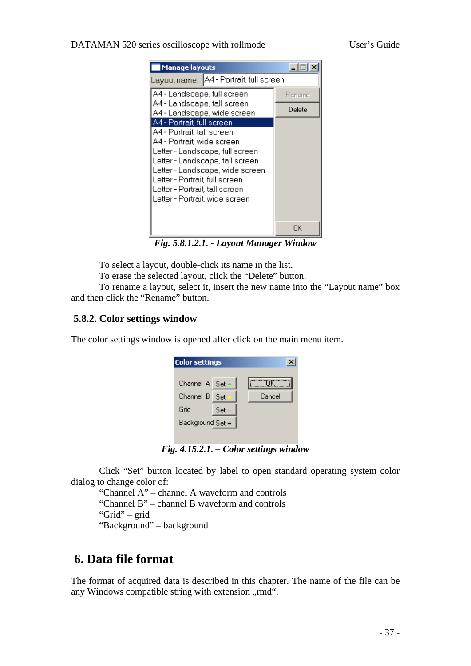#### <span id="page-36-0"></span>DATAMAN 520 series oscilloscope with rollmode User's Guide

| <b>Manage layouts</b>                                                                                                                                                                                                                                                                                |        |  |  |
|------------------------------------------------------------------------------------------------------------------------------------------------------------------------------------------------------------------------------------------------------------------------------------------------------|--------|--|--|
| Layout name:   A4 - Portrait, full screen                                                                                                                                                                                                                                                            |        |  |  |
| A4 - Landscape, full screen                                                                                                                                                                                                                                                                          | Rename |  |  |
| A4 - Landscape, tall screen<br>A4 - Landscape, wide screen                                                                                                                                                                                                                                           | Delete |  |  |
| A4 - Portrait, full screen<br>A4 - Portrait, tall screen<br>A4 - Portrait wide screen<br>Letter - Landscape, full screen<br>Letter - Landscape, tall screen<br>Letter - Landscape, wide screen<br>Letter - Portrait, full screen<br>Letter - Portrait, tall screen<br>Letter - Portrait, wide screen |        |  |  |
|                                                                                                                                                                                                                                                                                                      | OΚ     |  |  |

*Fig. 5.8.1.2.1. - Layout Manager Window* 

To select a layout, double-click its name in the list.

To erase the selected layout, click the "Delete" button.

To rename a layout, select it, insert the new name into the "Layout name" box and then click the "Rename" button.

#### **5.8.2. Color settings window**

The color settings window is opened after click on the main menu item.

| <b>Color settings</b> |      |        |
|-----------------------|------|--------|
| Channel A Set -       |      | ΠK     |
| Channel B             | -Set | Cancel |
| Grid                  | Set  |        |
| Background Set =      |      |        |
|                       |      |        |

*Fig. 4.15.2.1. – Color settings window* 

 Click "Set" button located by label to open standard operating system color dialog to change color of:

"Channel A" – channel A waveform and controls

"Channel B" – channel B waveform and controls

"Grid" – grid

"Background" – background

### **6. Data file format**

The format of acquired data is described in this chapter. The name of the file can be any Windows compatible string with extension "rmd".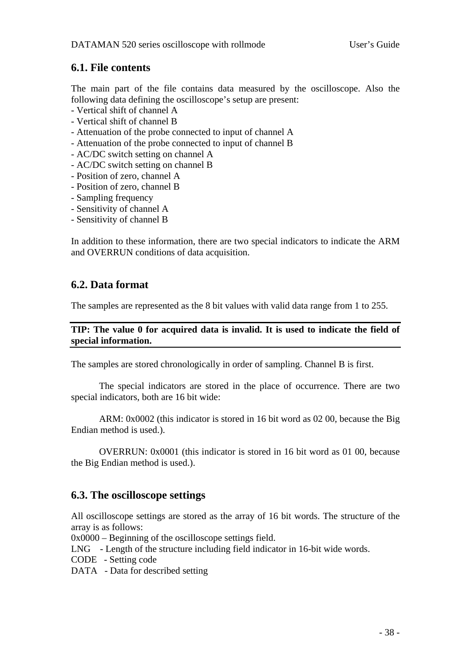### <span id="page-37-0"></span>**6.1. File contents**

The main part of the file contains data measured by the oscilloscope. Also the following data defining the oscilloscope's setup are present:

- Vertical shift of channel A
- Vertical shift of channel B
- Attenuation of the probe connected to input of channel A
- Attenuation of the probe connected to input of channel B
- AC/DC switch setting on channel A
- AC/DC switch setting on channel B
- Position of zero, channel A
- Position of zero, channel B
- Sampling frequency
- Sensitivity of channel A
- Sensitivity of channel B

In addition to these information, there are two special indicators to indicate the ARM and OVERRUN conditions of data acquisition.

### **6.2. Data format**

The samples are represented as the 8 bit values with valid data range from 1 to 255.

#### **TIP: The value 0 for acquired data is invalid. It is used to indicate the field of special information.**

The samples are stored chronologically in order of sampling. Channel B is first.

The special indicators are stored in the place of occurrence. There are two special indicators, both are 16 bit wide:

ARM: 0x0002 (this indicator is stored in 16 bit word as 02 00, because the Big Endian method is used.).

OVERRUN: 0x0001 (this indicator is stored in 16 bit word as 01 00, because the Big Endian method is used.).

### **6.3. The oscilloscope settings**

All oscilloscope settings are stored as the array of 16 bit words. The structure of the array is as follows:

0x0000 – Beginning of the oscilloscope settings field.

LNG - Length of the structure including field indicator in 16-bit wide words.

- CODE Setting code
- DATA Data for described setting